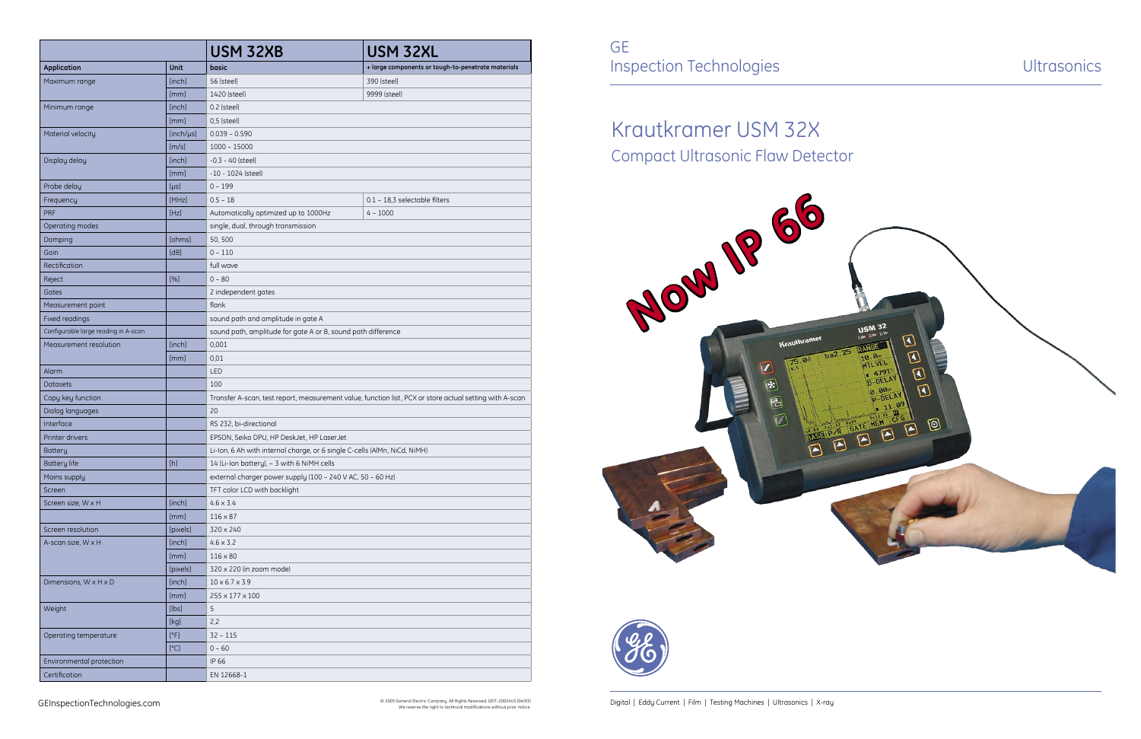GE Inspection Technologies and Ultrasonics

We reserve the right to technical modifications without prior notice.

Krautkramer USM 32X





|                                      |           | USM 32XB                                                                                                | USM 32XL                                           |
|--------------------------------------|-----------|---------------------------------------------------------------------------------------------------------|----------------------------------------------------|
| <b>Application</b>                   | Unit      | basic                                                                                                   | + large components or tough-to-penetrate materials |
| Maximum range                        | [inch]    | 56 (steel)                                                                                              | 390 (steel)                                        |
|                                      | [mm]      | 1420 (steel)                                                                                            | 9999 (steel)                                       |
| Minimum range                        | [inch]    | 0.2 (steel)                                                                                             |                                                    |
|                                      | [mm]      | $0,5$ (steel)                                                                                           |                                                    |
| Material velocity                    | [inch/µs] | $0.039 - 0.590$                                                                                         |                                                    |
|                                      | [m/s]     | $1000 - 15000$                                                                                          |                                                    |
| Display delay                        | [inch]    | $-0.3 - 40$ (steel)                                                                                     |                                                    |
|                                      | [mm]      | -10 - 1024 (steel)                                                                                      |                                                    |
| Probe delay                          | [µs]      | $0 - 199$                                                                                               |                                                    |
| Frequency                            | [MHz]     | $0.5 - 18$                                                                                              | 0.1 - 18,3 selectable filters                      |
| <b>PRF</b>                           | [Hz]      | Automatically optimized up to 1000Hz                                                                    | $4 - 1000$                                         |
| Operating modes                      |           | single, dual, through transmission                                                                      |                                                    |
| Damping                              | [ohms]    | 50,500                                                                                                  |                                                    |
| Gain                                 | [dB]      | $0 - 110$                                                                                               |                                                    |
| Rectification                        |           | full wave                                                                                               |                                                    |
| Reject                               | [%]       | $0 - 80$                                                                                                |                                                    |
| Gates                                |           | 2 independent gates                                                                                     |                                                    |
| Measurement point                    |           | flank                                                                                                   |                                                    |
| Fixed readings                       |           | sound path and amplitude in gate A                                                                      |                                                    |
| Configurable large reading in A-scan |           | sound path, amplitude for gate A or B, sound path difference                                            |                                                    |
| Measurement resolution               | [inch]    | 0,001                                                                                                   |                                                    |
|                                      | [mm]      | 0,01                                                                                                    |                                                    |
| Alarm                                |           | LED                                                                                                     |                                                    |
| <b>Datasets</b>                      |           | 100                                                                                                     |                                                    |
| Copy key function                    |           | Transfer A-scan, test report, measurement value, function list, PCX or store actual setting with A-scan |                                                    |
| Dialog languages                     |           | 20                                                                                                      |                                                    |
| Interface                            |           | RS 232, bi-directional                                                                                  |                                                    |
| Printer drivers                      |           | EPSON, Seiko DPU, HP DeskJet, HP LaserJet                                                               |                                                    |
| <b>Battery</b>                       |           | Li-Ion, 6 Ah with internal charge, or 6 single C-cells (AlMn, NiCd, NiMH)                               |                                                    |
| <b>Battery life</b>                  | [h]       | 14 (Li-Ion battery), $\sim$ 3 with 6 NiMH cells                                                         |                                                    |
| Mains supply                         |           | external charger power supply (100 - 240 V AC, 50 - 60 Hz)                                              |                                                    |
| Screen                               |           | TFT color LCD with backlight                                                                            |                                                    |
| Screen size, W x H                   | [inch]    | $4.6 \times 3.4$                                                                                        |                                                    |
|                                      | [mm]      | $116 \times 87$                                                                                         |                                                    |
| Screen resolution                    | [pixels]  | 320 × 240                                                                                               |                                                    |
| A-scan size, W x H                   | [inch]    | $4.6 \times 3.2$                                                                                        |                                                    |
|                                      | [mm]      | $116 \times 80$                                                                                         |                                                    |
|                                      | [pixels]  | 320 x 220 (in zoom mode)                                                                                |                                                    |
| Dimensions, W x H x D                | [inch]    | $10 \times 6.7 \times 3.9$                                                                              |                                                    |
|                                      | [mm]      | 255 x 177 x 100                                                                                         |                                                    |
| Weight                               | [ bs]     | 5                                                                                                       |                                                    |
|                                      | [kg]      | 2,2                                                                                                     |                                                    |
| Operating temperature                | [°F]      | $32 - 115$                                                                                              |                                                    |
|                                      | [°C]      | $0 - 60$                                                                                                |                                                    |
| Environmental protection             |           | IP 66                                                                                                   |                                                    |
| Certification                        |           | EN 12668-1                                                                                              |                                                    |